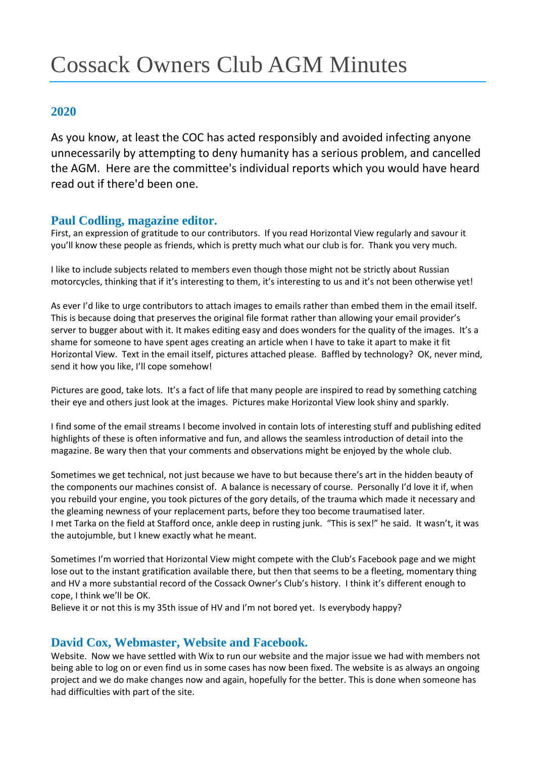# Cossack Owners Club AGM Minutes

# **2020**

As you know, at least the COC has acted responsibly and avoided infecting anyone unnecessarily by attempting to deny humanity has a serious problem, and cancelled the AGM. Here are the committee's individual reports which you would have heard read out if there'd been one.

### **Paul Codling, magazine editor.**

First, an expression of gratitude to our contributors. If you read Horizontal View regularly and savour it you'll know these people as friends, which is pretty much what our club is for. Thank you very much.

I like to include subjects related to members even though those might not be strictly about Russian motorcycles, thinking that if it's interesting to them, it's interesting to us and it's not been otherwise yet!

As ever I'd like to urge contributors to attach images to emails rather than embed them in the email itself. This is because doing that preserves the original file format rather than allowing your email provider's server to bugger about with it. It makes editing easy and does wonders for the quality of the images. It's a shame for someone to have spent ages creating an article when I have to take it apart to make it fit Horizontal View. Text in the email itself, pictures attached please. Baffled by technology? OK, never mind, send it how you like, I'll cope somehow!

Pictures are good, take lots. It's a fact of life that many people are inspired to read by something catching their eye and others just look at the images. Pictures make Horizontal View look shiny and sparkly.

I find some of the email streams I become involved in contain lots of interesting stuff and publishing edited highlights of these is often informative and fun, and allows the seamless introduction of detail into the magazine. Be wary then that your comments and observations might be enjoyed by the whole club.

Sometimes we get technical, not just because we have to but because there's art in the hidden beauty of the components our machines consist of. A balance is necessary of course. Personally I'd love it if, when you rebuild your engine, you took pictures of the gory details, of the trauma which made it necessary and the gleaming newness of your replacement parts, before they too become traumatised later. I met Tarka on the field at Stafford once, ankle deep in rusting junk. "This is sex!" he said. It wasn't, it was the autojumble, but I knew exactly what he meant.

Sometimes I'm worried that Horizontal View might compete with the Club's Facebook page and we might lose out to the instant gratification available there, but then that seems to be a fleeting, momentary thing and HV a more substantial record of the Cossack Owner's Club's history. I think it's different enough to cope, I think we'll be OK.

Believe it or not this is my 35th issue of HV and I'm not bored yet. Is everybody happy?

# **David Cox, Webmaster, Website and Facebook.**

Website. Now we have settled with Wix to run our website and the major issue we had with members not being able to log on or even find us in some cases has now been fixed. The website is as always an ongoing project and we do make changes now and again, hopefully for the better. This is done when someone has had difficulties with part of the site.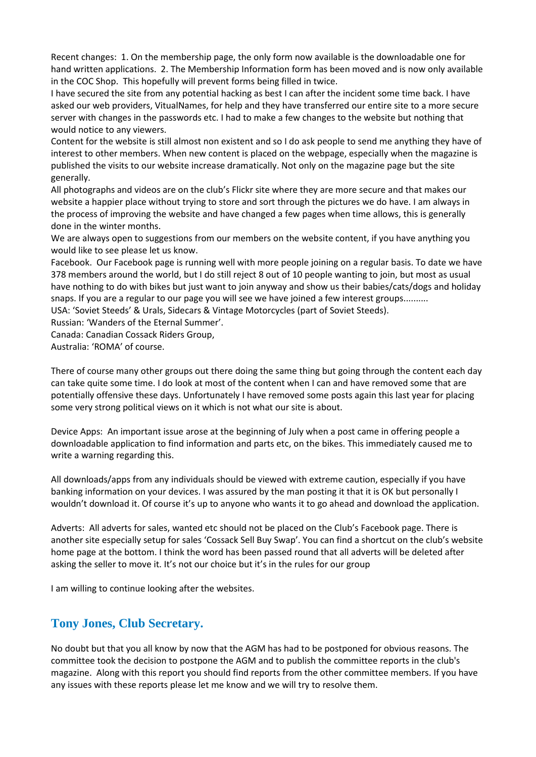Recent changes: 1. On the membership page, the only form now available is the downloadable one for hand written applications. 2. The Membership Information form has been moved and is now only available in the COC Shop. This hopefully will prevent forms being filled in twice.

I have secured the site from any potential hacking as best I can after the incident some time back. I have asked our web providers, VitualNames, for help and they have transferred our entire site to a more secure server with changes in the passwords etc. I had to make a few changes to the website but nothing that would notice to any viewers.

Content for the website is still almost non existent and so I do ask people to send me anything they have of interest to other members. When new content is placed on the webpage, especially when the magazine is published the visits to our website increase dramatically. Not only on the magazine page but the site generally.

All photographs and videos are on the club's Flickr site where they are more secure and that makes our website a happier place without trying to store and sort through the pictures we do have. I am always in the process of improving the website and have changed a few pages when time allows, this is generally done in the winter months.

We are always open to suggestions from our members on the website content, if you have anything you would like to see please let us know.

Facebook. Our Facebook page is running well with more people joining on a regular basis. To date we have 378 members around the world, but I do still reject 8 out of 10 people wanting to join, but most as usual have nothing to do with bikes but just want to join anyway and show us their babies/cats/dogs and holiday snaps. If you are a regular to our page you will see we have joined a few interest groups.......... USA: 'Soviet Steeds' & Urals, Sidecars & Vintage Motorcycles (part of Soviet Steeds).

Russian: 'Wanders of the Eternal Summer'.

Canada: Canadian Cossack Riders Group,

Australia: 'ROMA' of course.

There of course many other groups out there doing the same thing but going through the content each day can take quite some time. I do look at most of the content when I can and have removed some that are potentially offensive these days. Unfortunately I have removed some posts again this last year for placing some very strong political views on it which is not what our site is about.

Device Apps: An important issue arose at the beginning of July when a post came in offering people a downloadable application to find information and parts etc, on the bikes. This immediately caused me to write a warning regarding this.

All downloads/apps from any individuals should be viewed with extreme caution, especially if you have banking information on your devices. I was assured by the man posting it that it is OK but personally I wouldn't download it. Of course it's up to anyone who wants it to go ahead and download the application.

Adverts: All adverts for sales, wanted etc should not be placed on the Club's Facebook page. There is another site especially setup for sales 'Cossack Sell Buy Swap'. You can find a shortcut on the club's website home page at the bottom. I think the word has been passed round that all adverts will be deleted after asking the seller to move it. It's not our choice but it's in the rules for our group

I am willing to continue looking after the websites.

### **Tony Jones, Club Secretary.**

No doubt but that you all know by now that the AGM has had to be postponed for obvious reasons. The committee took the decision to postpone the AGM and to publish the committee reports in the club's magazine. Along with this report you should find reports from the other committee members. If you have any issues with these reports please let me know and we will try to resolve them.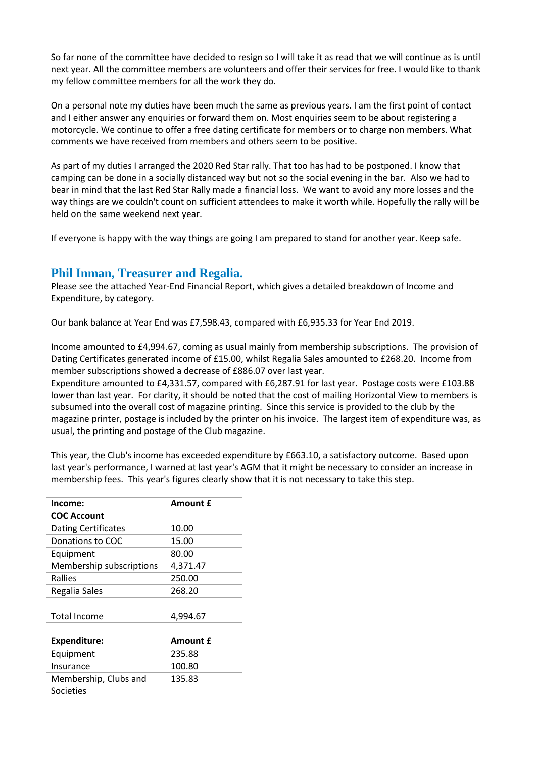So far none of the committee have decided to resign so I will take it as read that we will continue as is until next year. All the committee members are volunteers and offer their services for free. I would like to thank my fellow committee members for all the work they do.

On a personal note my duties have been much the same as previous years. I am the first point of contact and I either answer any enquiries or forward them on. Most enquiries seem to be about registering a motorcycle. We continue to offer a free dating certificate for members or to charge non members. What comments we have received from members and others seem to be positive.

As part of my duties I arranged the 2020 Red Star rally. That too has had to be postponed. I know that camping can be done in a socially distanced way but not so the social evening in the bar. Also we had to bear in mind that the last Red Star Rally made a financial loss. We want to avoid any more losses and the way things are we couldn't count on sufficient attendees to make it worth while. Hopefully the rally will be held on the same weekend next year.

If everyone is happy with the way things are going I am prepared to stand for another year. Keep safe.

### **Phil Inman, Treasurer and Regalia.**

Please see the attached Year-End Financial Report, which gives a detailed breakdown of Income and Expenditure, by category.

Our bank balance at Year End was £7,598.43, compared with £6,935.33 for Year End 2019.

Income amounted to £4,994.67, coming as usual mainly from membership subscriptions. The provision of Dating Certificates generated income of £15.00, whilst Regalia Sales amounted to £268.20. Income from member subscriptions showed a decrease of £886.07 over last year.

Expenditure amounted to £4,331.57, compared with £6,287.91 for last year. Postage costs were £103.88 lower than last year. For clarity, it should be noted that the cost of mailing Horizontal View to members is subsumed into the overall cost of magazine printing. Since this service is provided to the club by the magazine printer, postage is included by the printer on his invoice. The largest item of expenditure was, as usual, the printing and postage of the Club magazine.

This year, the Club's income has exceeded expenditure by £663.10, a satisfactory outcome. Based upon last year's performance, I warned at last year's AGM that it might be necessary to consider an increase in membership fees. This year's figures clearly show that it is not necessary to take this step.

| Income:                    | Amount £ |
|----------------------------|----------|
| <b>COC Account</b>         |          |
| <b>Dating Certificates</b> | 10.00    |
| Donations to COC           | 15.00    |
| Equipment                  | 80.00    |
| Membership subscriptions   | 4,371.47 |
| Rallies                    | 250.00   |
| Regalia Sales              | 268.20   |
|                            |          |
| <b>Total Income</b>        | 4.994.67 |
|                            |          |

| <b>Expenditure:</b>   | Amount £ |
|-----------------------|----------|
| Equipment             | 235.88   |
| Insurance             | 100.80   |
| Membership, Clubs and | 135.83   |
| Societies             |          |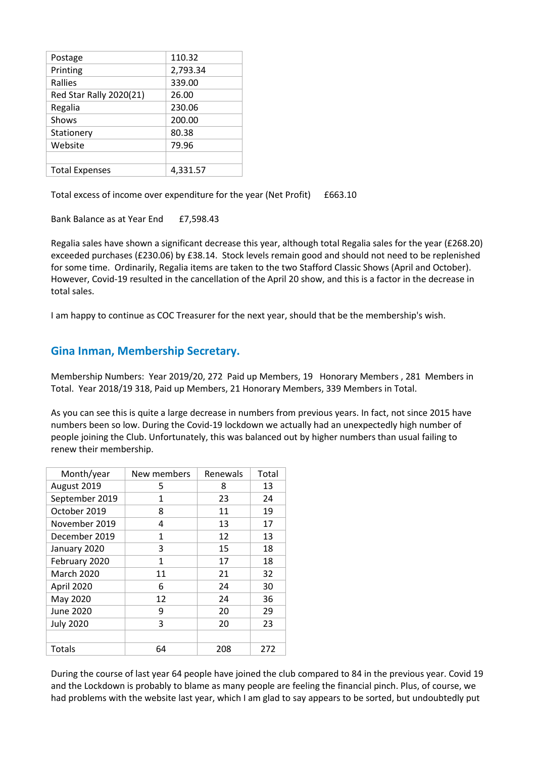| Postage                 | 110.32   |
|-------------------------|----------|
| Printing                | 2,793.34 |
| Rallies                 | 339.00   |
| Red Star Rally 2020(21) | 26.00    |
| Regalia                 | 230.06   |
| Shows                   | 200.00   |
| Stationery              | 80.38    |
| Website                 | 79.96    |
|                         |          |
| <b>Total Expenses</b>   | 4,331.57 |
|                         |          |

Total excess of income over expenditure for the year (Net Profit) £663.10

Bank Balance as at Year End £7,598.43

Regalia sales have shown a significant decrease this year, although total Regalia sales for the year (£268.20) exceeded purchases (£230.06) by £38.14. Stock levels remain good and should not need to be replenished for some time. Ordinarily, Regalia items are taken to the two Stafford Classic Shows (April and October). However, Covid-19 resulted in the cancellation of the April 20 show, and this is a factor in the decrease in total sales.

I am happy to continue as COC Treasurer for the next year, should that be the membership's wish.

### **Gina Inman, Membership Secretary.**

Membership Numbers: Year 2019/20, 272 Paid up Members, 19 Honorary Members , 281 Members in Total. Year 2018/19 318, Paid up Members, 21 Honorary Members, 339 Members in Total.

As you can see this is quite a large decrease in numbers from previous years. In fact, not since 2015 have numbers been so low. During the Covid-19 lockdown we actually had an unexpectedly high number of people joining the Club. Unfortunately, this was balanced out by higher numbers than usual failing to renew their membership.

| Month/year        | New members | Renewals | Total |
|-------------------|-------------|----------|-------|
| August 2019       | 5           | 8        | 13    |
| September 2019    | 1           | 23       | 24    |
| October 2019      | 8           | 11       | 19    |
| November 2019     | 4           | 13       | 17    |
| December 2019     | 1           | 12       | 13    |
| January 2020      | 3           | 15       | 18    |
| February 2020     | 1           | 17       | 18    |
| <b>March 2020</b> | 11          | 21       | 32    |
| April 2020        | 6           | 24       | 30    |
| May 2020          | 12          | 24       | 36    |
| June 2020         | 9           | 20       | 29    |
| <b>July 2020</b>  | 3           | 20       | 23    |
|                   |             |          |       |
| Totals            | 64          | 208      | 272   |

During the course of last year 64 people have joined the club compared to 84 in the previous year. Covid 19 and the Lockdown is probably to blame as many people are feeling the financial pinch. Plus, of course, we had problems with the website last year, which I am glad to say appears to be sorted, but undoubtedly put